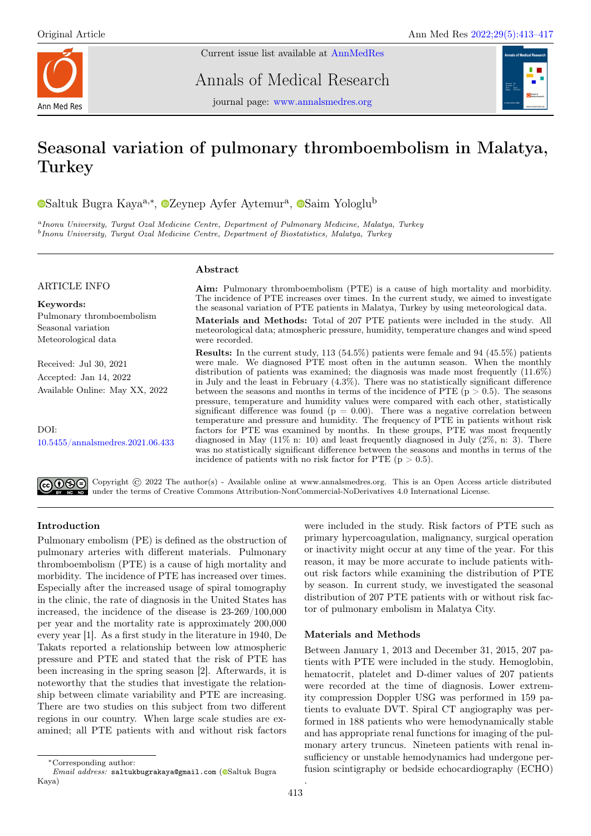

Current issue list available at [AnnMedRes](https://annalsmedres.org/index.php/aomr/issue/view/163)

Annals of Medical Research



journal page: [www.annalsmedres.org](https://www.annalsmedres.org)

# Seasonal variation of pulmonary thromboembolism in Malatya, Turkey

[S](https://orcid.org/0000-0002-9619-3462)altuk Bugra Kaya<sup>a,∗</sup>, <sup>©</sup>[Z](https://orcid.org/0000-0003-0421-907X)eynep Ayfer Aytemur<sup>a</sup>, ©Saim Yologlu<sup>b</sup>

<sup>a</sup>Inonu University, Turgut Ozal Medicine Centre, Department of Pulmonary Medicine, Malatya, Turkey <sup>b</sup> Inonu University, Turgut Ozal Medicine Centre, Department of Biostatistics, Malatya, Turkey

## ARTICLE INFO

Keywords: Pulmonary thromboembolism Seasonal variation Meteorological data

Received: Jul 30, 2021 Accepted: Jan 14, 2022 Available Online: May XX, 2022

DOI: [10.5455/annalsmedres.2021.06.433](https://doi.org/10.5455/annalsmedres.2021.06.433)

## Abstract

Aim: Pulmonary thromboembolism (PTE) is a cause of high mortality and morbidity. The incidence of PTE increases over times. In the current study, we aimed to investigate the seasonal variation of PTE patients in Malatya, Turkey by using meteorological data.

Materials and Methods: Total of 207 PTE patients were included in the study. All meteorological data; atmospheric pressure, humidity, temperature changes and wind speed were recorded.

Results: In the current study, 113 (54.5%) patients were female and 94 (45.5%) patients were male. We diagnosed PTE most often in the autumn season. When the monthly distribution of patients was examined; the diagnosis was made most frequently (11.6%) in July and the least in February (4.3%). There was no statistically significant difference between the seasons and months in terms of the incidence of PTE  $(p > 0.5)$ . The seasons pressure, temperature and humidity values were compared with each other, statistically significant difference was found ( $p = 0.00$ ). There was a negative correlation between temperature and pressure and humidity. The frequency of PTE in patients without risk factors for PTE was examined by months. In these groups, PTE was most frequently diagnosed in May (11% n: 10) and least frequently diagnosed in July (2%, n: 3). There was no statistically significant difference between the seasons and months in terms of the incidence of patients with no risk factor for PTE ( $p > 0.5$ ).

Copyright © 2022 The author(s) - Available online at www.annalsmedres.org. This is an Open Access article distributed under the terms of Creative Commons Attribution-NonCommercial-NoDerivatives 4.0 International License.

## Introduction

Pulmonary embolism (PE) is defined as the obstruction of pulmonary arteries with different materials. Pulmonary thromboembolism (PTE) is a cause of high mortality and morbidity. The incidence of PTE has increased over times. Especially after the increased usage of spiral tomography in the clinic, the rate of diagnosis in the United States has increased, the incidence of the disease is 23-269/100,000 per year and the mortality rate is approximately 200,000 every year [1]. As a first study in the literature in 1940, De Takats reported a relationship between low atmospheric pressure and PTE and stated that the risk of PTE has been increasing in the spring season [2]. Afterwards, it is noteworthy that the studies that investigate the relationship between climate variability and PTE are increasing. There are two studies on this subject from two different regions in our country. When large scale studies are examined; all PTE patients with and without risk factors

## Materials and Methods

Between January 1, 2013 and December 31, 2015, 207 patients with PTE were included in the study. Hemoglobin, hematocrit, platelet and D-dimer values of 207 patients were recorded at the time of diagnosis. Lower extremity compression Doppler USG was performed in 159 patients to evaluate DVT. Spiral CT angiography was performed in 188 patients who were hemodynamically stable and has appropriate renal functions for imaging of the pulmonary artery truncus. Nineteen patients with renal insufficiency or unstable hemodynamics had undergone perfusion scintigraphy or bedside echocardiography (ECHO)

.

were included in the study. Risk factors of PTE such as primary hypercoagulation, malignancy, surgical operation or inactivity might occur at any time of the year. For this reason, it may be more accurate to include patients without risk factors while examining the distribution of PTE by season. In current study, we investigated the seasonal distribution of 207 PTE patients with or without risk factor of pulmonary embolism in Malatya City.

<sup>∗</sup>Corresponding author:

Email address: saltukbugrakaya@gmail.com (@[S](https://orcid.org/0000-0002-3890-1299)altuk Bugra Kaya)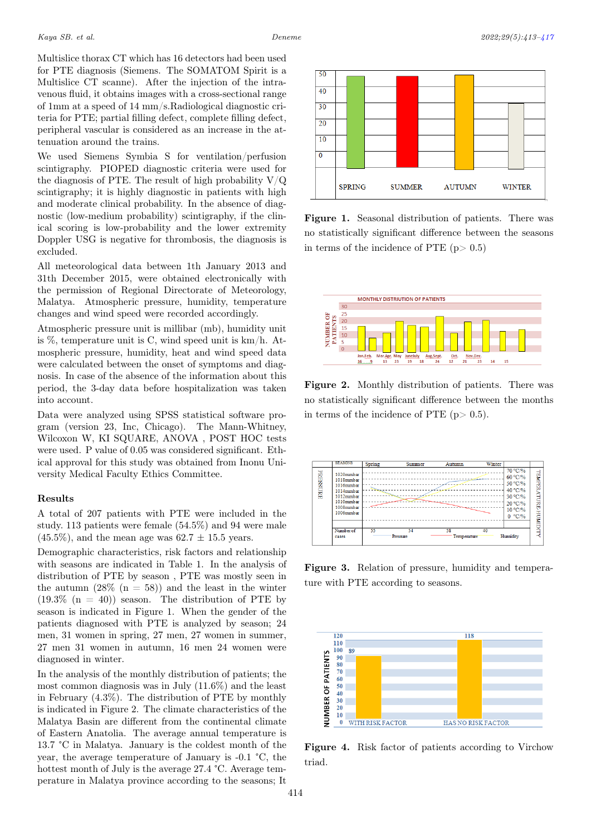Multislice thorax CT which has 16 detectors had been used for PTE diagnosis (Siemens. The SOMATOM Spirit is a Multislice CT scanne). After the injection of the intravenous fluid, it obtains images with a cross-sectional range of 1mm at a speed of 14 mm/s.Radiological diagnostic criteria for PTE; partial filling defect, complete filling defect, peripheral vascular is considered as an increase in the attenuation around the trains.

We used Siemens Symbia S for ventilation/perfusion scintigraphy. PIOPED diagnostic criteria were used for the diagnosis of PTE. The result of high probability  $V/Q$ scintigraphy; it is highly diagnostic in patients with high and moderate clinical probability. In the absence of diagnostic (low-medium probability) scintigraphy, if the clinical scoring is low-probability and the lower extremity Doppler USG is negative for thrombosis, the diagnosis is excluded.

All meteorological data between 1th January 2013 and 31th December 2015, were obtained electronically with the permission of Regional Directorate of Meteorology, Malatya. Atmospheric pressure, humidity, temperature changes and wind speed were recorded accordingly.

Atmospheric pressure unit is millibar (mb), humidity unit is %, temperature unit is C, wind speed unit is km/h. Atmospheric pressure, humidity, heat and wind speed data were calculated between the onset of symptoms and diagnosis. In case of the absence of the information about this period, the 3-day data before hospitalization was taken into account.

Data were analyzed using SPSS statistical software program (version 23, Inc, Chicago). The Mann-Whitney, Wilcoxon W, KI SQUARE, ANOVA , POST HOC tests were used. P value of 0.05 was considered significant. Ethical approval for this study was obtained from Inonu University Medical Faculty Ethics Committee.

## Results

A total of 207 patients with PTE were included in the study. 113 patients were female (54.5%) and 94 were male  $(45.5\%)$ , and the mean age was  $62.7 \pm 15.5$  years.

Demographic characteristics, risk factors and relationship with seasons are indicated in Table 1. In the analysis of distribution of PTE by season , PTE was mostly seen in the autumn  $(28\%$  (n = 58)) and the least in the winter  $(19.3\% \text{ (n = 40)})$  season. The distribution of PTE by season is indicated in Figure 1. When the gender of the patients diagnosed with PTE is analyzed by season; 24 men, 31 women in spring, 27 men, 27 women in summer, 27 men 31 women in autumn, 16 men 24 women were diagnosed in winter.

In the analysis of the monthly distribution of patients; the most common diagnosis was in July (11.6%) and the least in February (4.3%). The distribution of PTE by monthly is indicated in Figure 2. The climate characteristics of the Malatya Basin are different from the continental climate of Eastern Anatolia. The average annual temperature is 13.7 °C in Malatya. January is the coldest month of the year, the average temperature of January is -0.1 °C, the hottest month of July is the average 27.4 °C. Average temperature in Malatya province according to the seasons; It



Figure 1. Seasonal distribution of patients. There was no statistically significant difference between the seasons in terms of the incidence of PTE  $(p > 0.5)$ 



Figure 2. Monthly distribution of patients. There was no statistically significant difference between the months in terms of the incidence of PTE  $(p > 0.5)$ .



Figure 3. Relation of pressure, humidity and temperature with PTE according to seasons.

<span id="page-1-0"></span>

Figure 4. Risk factor of patients according to Virchow triad.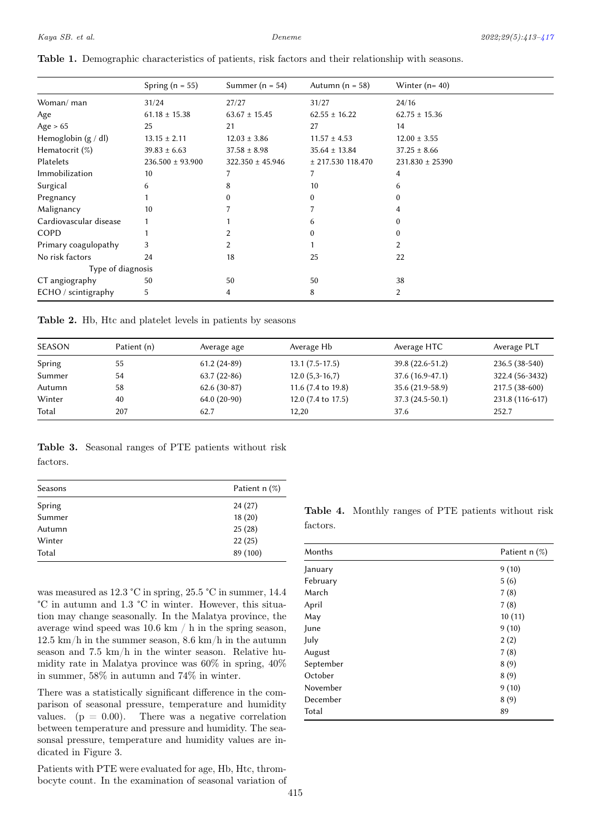|                        | Spring ( $n = 55$ )  | Summer ( $n = 54$ )  | Autumn ( $n = 58$ ) | Winter $(n=40)$     |
|------------------------|----------------------|----------------------|---------------------|---------------------|
| Woman/ man             | 31/24                | 27/27                | 31/27               | 24/16               |
| Age                    | $61.18 \pm 15.38$    | $63.67 \pm 15.45$    | $62.55 \pm 16.22$   | $62.75 \pm 15.36$   |
| Age $> 65$             | 25                   | 21                   | 27                  | 14                  |
| Hemoglobin $(g / dl)$  | $13.15 \pm 2.11$     | $12.03 \pm 3.86$     | $11.57 \pm 4.53$    | $12.00 \pm 3.55$    |
| Hematocrit $(\%)$      | $39.83 \pm 6.63$     | $37.58 \pm 8.98$     | $35.64 \pm 13.84$   | $37.25 \pm 8.66$    |
| Platelets              | $236.500 \pm 93.900$ | $322.350 \pm 45.946$ | $±$ 217.530 118.470 | $231.830 \pm 25390$ |
| Immobilization         | 10                   |                      |                     | 4                   |
| Surgical               | 6                    | 8                    | 10                  | 6                   |
| Pregnancy              |                      |                      | 0                   | 0                   |
| Malignancy             | 10                   |                      |                     | 4                   |
| Cardiovascular disease |                      |                      |                     | 0                   |
| COPD                   |                      |                      |                     | $\Omega$            |
| Primary coagulopathy   | 3                    |                      |                     | 2                   |
| No risk factors        | 24                   | 18                   | 25                  | 22                  |
| Type of diagnosis      |                      |                      |                     |                     |
| CT angiography         | 50                   | 50                   | 50                  | 38                  |
| ECHO / scintigraphy    | 5                    | 4                    | 8                   | 2                   |

Table 1. Demographic characteristics of patients, risk factors and their relationship with seasons.

Table 2. Hb, Htc and platelet levels in patients by seasons

| <b>SEASON</b> | Patient (n) | Average age   | Average Hb         | Average HTC       | Average PLT     |
|---------------|-------------|---------------|--------------------|-------------------|-----------------|
| Spring        | 55          | $61.2(24-89)$ | $13.1(7.5-17.5)$   | 39.8 (22.6-51.2)  | $236.5(38-540)$ |
| Summer        | 54          | $63.7(22-86)$ | $12.0(5,3-16,7)$   | $37.6(16.9-47.1)$ | 322.4 (56-3432) |
| Autumn        | 58          | $62.6(30-87)$ | 11.6 (7.4 to 19.8) | 35.6 (21.9-58.9)  | 217.5 (38-600)  |
| Winter        | 40          | $64.0(20-90)$ | 12.0 (7.4 to 17.5) | $37.3(24.5-50.1)$ | 231.8 (116-617) |
| Total         | 207         | 62.7          | 12.20              | 37.6              | 252.7           |

Table 3. Seasonal ranges of PTE patients without risk

factors.

| Seasons | Patient $n$ (%) |
|---------|-----------------|
| Spring  | 24(27)          |
| Summer  | 18(20)          |
| Autumn  | 25(28)          |
| Winter  | 22(25)          |
| Total   | 89 (100)        |

was measured as 12.3 °C in spring, 25.5 °C in summer, 14.4 °C in autumn and 1.3 °C in winter. However, this situation may change seasonally. In the Malatya province, the average wind speed was 10.6 km / h in the spring season, 12.5 km/h in the summer season, 8.6 km/h in the autumn season and 7.5 km/h in the winter season. Relative humidity rate in Malatya province was 60% in spring, 40% in summer, 58% in autumn and 74% in winter.

There was a statistically significant difference in the comparison of seasonal pressure, temperature and humidity values.  $(p = 0.00)$ . There was a negative correlation between temperature and pressure and humidity. The seasonsal pressure, temperature and humidity values are indicated in Figure 3.

Patients with PTE were evaluated for age, Hb, Htc, thrombocyte count. In the examination of seasonal variation of

| <b>Table 4.</b> Monthly ranges of PTE patients without risk |  |  |  |
|-------------------------------------------------------------|--|--|--|
| factors.                                                    |  |  |  |

| Months    | Patient $n$ (%) |
|-----------|-----------------|
| January   | 9(10)           |
| February  | 5(6)            |
| March     | 7(8)            |
| April     | 7(8)            |
| May       | 10(11)          |
| June      | 9(10)           |
| July      | 2(2)            |
| August    | 7(8)            |
| September | 8(9)            |
| October   | 8(9)            |
| November  | 9(10)           |
| December  | 8(9)            |
| Total     | 89              |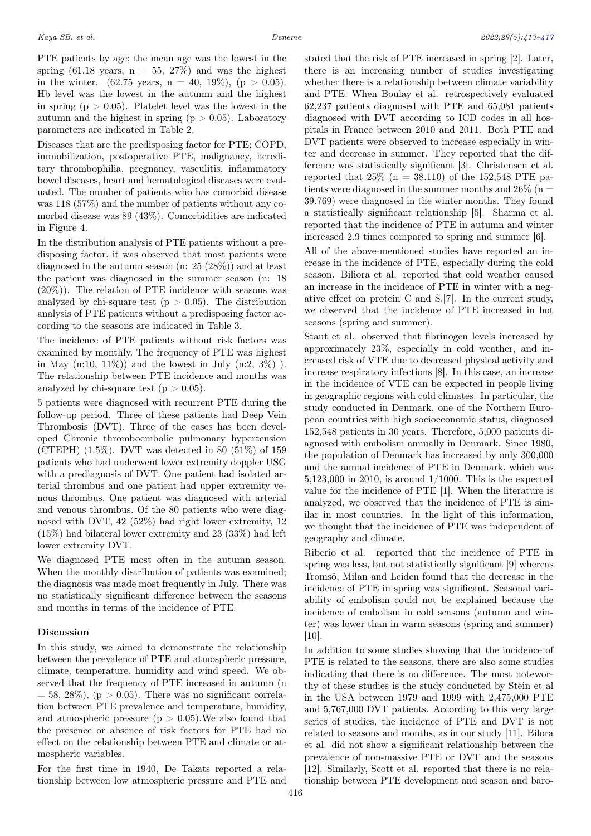PTE patients by age; the mean age was the lowest in the spring (61.18 years,  $n = 55, 27\%)$  and was the highest in the winter. (62.75 years,  $n = 40, 19\%$ ), ( $p > 0.05$ ). Hb level was the lowest in the autumn and the highest in spring ( $p > 0.05$ ). Platelet level was the lowest in the autumn and the highest in spring ( $p > 0.05$ ). Laboratory parameters are indicated in Table 2.

Diseases that are the predisposing factor for PTE; COPD, immobilization, postoperative PTE, malignancy, hereditary thrombophilia, pregnancy, vasculitis, inflammatory bowel diseases, heart and hematological diseases were evaluated. The number of patients who has comorbid disease was 118 (57%) and the number of patients without any comorbid disease was 89 (43%). Comorbidities are indicated in Figure 4.

In the distribution analysis of PTE patients without a predisposing factor, it was observed that most patients were diagnosed in the autumn season (n: 25 (28%)) and at least the patient was diagnosed in the summer season (n: 18  $(20\%)$ . The relation of PTE incidence with seasons was analyzed by chi-square test ( $p > 0.05$ ). The distribution analysis of PTE patients without a predisposing factor according to the seasons are indicated in Table 3.

The incidence of PTE patients without risk factors was examined by monthly. The frequency of PTE was highest in May  $(n:10, 11\%)$  and the lowest in July  $(n:2, 3\%)$ ). The relationship between PTE incidence and months was analyzed by chi-square test  $(p > 0.05)$ .

5 patients were diagnosed with recurrent PTE during the follow-up period. Three of these patients had Deep Vein Thrombosis (DVT). Three of the cases has been developed Chronic thromboembolic pulmonary hypertension (CTEPH) (1.5%). DVT was detected in 80 (51%) of 159 patients who had underwent lower extremity doppler USG with a prediagnosis of DVT. One patient had isolated arterial thrombus and one patient had upper extremity venous thrombus. One patient was diagnosed with arterial and venous thrombus. Of the 80 patients who were diagnosed with DVT, 42 (52%) had right lower extremity, 12 (15%) had bilateral lower extremity and 23 (33%) had left lower extremity DVT.

We diagnosed PTE most often in the autumn season. When the monthly distribution of patients was examined; the diagnosis was made most frequently in July. There was no statistically significant difference between the seasons and months in terms of the incidence of PTE.

### Discussion

In this study, we aimed to demonstrate the relationship between the prevalence of PTE and atmospheric pressure, climate, temperature, humidity and wind speed. We observed that the frequency of PTE increased in autumn (n  $= 58, 28\%$ , (p  $> 0.05$ ). There was no significant correlation between PTE prevalence and temperature, humidity, and atmospheric pressure  $(p > 0.05)$ . We also found that the presence or absence of risk factors for PTE had no effect on the relationship between PTE and climate or atmospheric variables.

For the first time in 1940, De Takats reported a relationship between low atmospheric pressure and PTE and stated that the risk of PTE increased in spring [2]. Later, there is an increasing number of studies investigating whether there is a relationship between climate variability and PTE. When Boulay et al. retrospectively evaluated 62,237 patients diagnosed with PTE and 65,081 patients diagnosed with DVT according to ICD codes in all hospitals in France between 2010 and 2011. Both PTE and DVT patients were observed to increase especially in winter and decrease in summer. They reported that the difference was statistically significant [3]. Christensen et al. reported that  $25\%$  (n = 38.110) of the 152,548 PTE patients were diagnosed in the summer months and  $26\%$  (n = 39.769) were diagnosed in the winter months. They found a statistically significant relationship [5]. Sharma et al. reported that the incidence of PTE in autumn and winter increased 2.9 times compared to spring and summer [6].

All of the above-mentioned studies have reported an increase in the incidence of PTE, especially during the cold season. Biliora et al. reported that cold weather caused an increase in the incidence of PTE in winter with a negative effect on protein C and S.[7]. In the current study, we observed that the incidence of PTE increased in hot seasons (spring and summer).

Staut et al. observed that fibrinogen levels increased by approximately 23%, especially in cold weather, and increased risk of VTE due to decreased physical activity and increase respiratory infections [8]. In this case, an increase in the incidence of VTE can be expected in people living in geographic regions with cold climates. In particular, the study conducted in Denmark, one of the Northern European countries with high socioeconomic status, diagnosed 152,548 patients in 30 years. Therefore, 5,000 patients diagnosed with embolism annually in Denmark. Since 1980, the population of Denmark has increased by only 300,000 and the annual incidence of PTE in Denmark, which was 5,123,000 in 2010, is around 1/1000. This is the expected value for the incidence of PTE [1]. When the literature is analyzed, we observed that the incidence of PTE is similar in most countries. In the light of this information, we thought that the incidence of PTE was independent of geography and climate.

Riberio et al. reported that the incidence of PTE in spring was less, but not statistically significant [9] whereas Tromsö, Milan and Leiden found that the decrease in the incidence of PTE in spring was significant. Seasonal variability of embolism could not be explained because the incidence of embolism in cold seasons (autumn and winter) was lower than in warm seasons (spring and summer) [10].

In addition to some studies showing that the incidence of PTE is related to the seasons, there are also some studies indicating that there is no difference. The most noteworthy of these studies is the study conducted by Stein et al in the USA between 1979 and 1999 with 2,475,000 PTE and 5,767,000 DVT patients. According to this very large series of studies, the incidence of PTE and DVT is not related to seasons and months, as in our study [11]. Bilora et al. did not show a significant relationship between the prevalence of non-massive PTE or DVT and the seasons [12]. Similarly, Scott et al. reported that there is no relationship between PTE development and season and baro